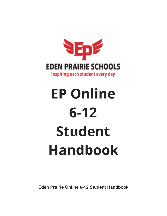

# **EP Online 6-12 Student Handbook**

**Eden Prairie Online 6-12 Student Handbook**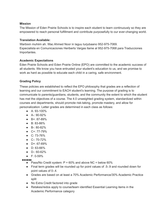### **Mission**

The Mission of Eden Prairie Schools is to inspire each student to learn continuously so they are empowered to reach personal fulfillment and contribute purposefully to our ever-changing world.

# **Translation Available:**

Warbixin muhiim ah. Wac Ahmed Noor in laguu turjubaano 952-975-7069. Especialista en Comunicaciones Heriberto Vargas llame al 952-975-7068 para Traducciones Importantes.

# **Academic Expectations**

Eden Prairie Schools and Eden Prairie Online (EPO) are committed to the academic success of all students. We know you have entrusted your student's education to us, and we promise to work as hard as possible to educate each child in a caring, safe environment.

# **Grading Policy**

These policies are established to reflect the EPO philosophy that grades are a reflection of learning and our commitment to EACH student's learning. The purpose of grading is to communicate to parents/guardians, students, and the community the extent to which the student has met the objectives of a course. The 4.0 unweighted grading system, standardized within courses and departments, should promote risk-taking, promote mastery, and allow for personalization. Letter grades are determined in each class as follows:

- A: 93-100%
- A-: 90-92%
- B+: 87-89%
- B: 83-86%
- B-: 80-82%
- C+: 77-79%
- $\bullet$  C: 73-76%
- C-: 70-72%
- D+: 67-69%
- D: 63-66%
- D-: 60-62%
- F: 0-59%

- Pass/No Credit system:  $P = 60\%$  and above NC = below 60%
- Final term grades will be rounded up for point values of .5-.9 and rounded down for point values of 0-.4.
- Grades are based on at least a 70% Academic Performance/30% Academic Practice split
- No Extra Credit factored into grade
- Retakes/redos apply to course/team identified Essential Learning items in the Academic Performance category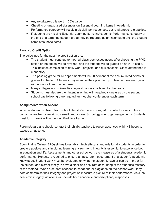- Any re-take/re-do is worth 100% value
- Cheating or unexcused absences on Essential Learning items in Academic Performance category will result in disciplinary responses, but retake/redo rule applies.
- If students are missing Essential Learning items in Academic Performance category at the end of a term, the student grade may be reported as an incomplete until the student completes those items

# **Pass/No Credit Option**

The guidelines for the pass/no credit option are:

- The student must continue to meet all classroom expectations after choosing the P/NC option or the option will be revoked, and the student will be graded on an A - F scale. This includes completion of daily work, projects, and quizzes/tests. Class attendance is mandatory.
- The passing grade for all departments will be 60 percent of the accumulated points or grades for the term.Students may exercise the option for up to two courses each year with no more than one per term.
- Many colleges and universities request courses be taken for the grade.
- Students must declare their intent in writing with required signatures by the second school day following parent/guardian - teacher conferences each term.

# **Assignments when Absent**

When a student is absent from school, the student is encouraged to contact a classmate or contact a teacher by email, voicemail, and access Schoology site to get assignments. Students must turn in work within the identified time frame.

Parents/guardians should contact their child's teachers to report absences within 48 hours to excuse an absence.

# **Academic Integrity**

Eden Prairie Online (EPO) strives to establish high ethical standards for all students in order to create a positive and stimulating learning environment. Integrity is essential to excellence both in education and life. Assessments and other schoolwork are measures of a student's academic performance. Honesty is required to ensure an accurate measurement of a student's academic knowledge. Student work must be evaluated on what the student knows or can do in order for the student and his/her family to have a clear and accurate accounting of the student's mastery of the material. When a student chooses to cheat and/or plagiarize on their schoolwork, they both compromise their integrity and project an inaccurate picture of their performance. As such, academic integrity violations will include both academic and disciplinary responses.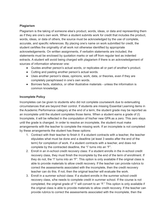# **Plagiarism**

Plagiarism is the taking of someone else's product, words, ideas, or data and representing them as if they are one's own work. When a student submits work for credit that includes the product, words, ideas, or data of others, the source must be acknowledged by the use of complete, accurate, and specific references. By placing one's name on work submitted for credit, the student certifies the originality of all work not otherwise identified by appropriate acknowledgements. On written assignments, if verbatim statements are included, the statements must be enclosed by quotation marks or set off from regular text as indented extracts. A student will avoid being charged with plagiarism if there is an acknowledgement of sources of information whenever one:

- Quotes another person's actual words, or replicates all or part of another's product.
- Cutting and pasting another person's actual words.
- Uses another person's ideas, opinions, work, data, or theories, even if they are completely paraphrased in one's own words.
- Borrows facts, statistics, or other illustrative materials unless the information is common knowledge.

# **Incomplete Policy**

Incompletes can be given to students who did not complete coursework due to extenuating circumstances that are beyond their control. If students are missing Essential Learning items in the Academic Performance category at the end of a term, the student grade may be reported as an incomplete until the student completes those items. When a student earns a grade of (I) Incomplete, it will be reflected in the computation of his/her new GPA as a zero. This zero stays until the grade is changed. In order to resolve an incomplete, the student must make arrangements with the teacher to complete the missing work. If an incomplete is not completed by these arrangements the student has these options:

- 1. Contract with their teacher to finish it: If a student contracts with a teacher, the teacher stipulates what must be done and a deadline (at least 3 weeks after the end of the term) for completion of work. If a student contracts with a teacher, and does not complete by the contracted deadline, the "I" turns into an "F".
- 2. Enroll in an in-school credit recovery class: If a student enrolls in the in-school credit recovery class, they must finish the incomplete by the end of the term of enrollment. If they do not, the "I" turns into an "F". This option is only available if the original class is able to provide materials to allow credit recovery. If the teacher can provide rubrics to correct the assessments associated with the incomplete, then the credit recovery teacher can do this. If not, then the original teacher will evaluate the work.
- 3. Enroll in a summer school class: If a student enrolls in the summer school credit recovery class, s/he needs to complete credit in summer school. If the course is not completed, the original grade of "I" will convert to an "F." This option is only available if the original class is able to provide materials to allow credit recovery. If the teacher can provide rubrics to correct the assessments associated with the incomplete, then the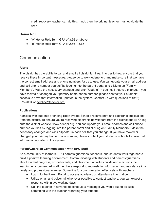credit recovery teacher can do this. If not, then the original teacher must evaluate the work.

# **Honor Roll**

- "A" Honor Roll: Term GPA of 3.66 or above.
- $\bullet$  "B" Honor Roll: Term GPA of 2.66 3.65

# Communication

# **Alerts**

The district has the ability to call and email all district families. In order to help ensure that you receive these important messages, please go to [www.edenpr.org](http://www.edenpr.org/) and make sure that we have the correct email address and phone numbers for us to use. You can update your email address and cell phone number yourself by logging into the parent portal and clicking on "Family Members". Make the necessary changes and click "Update" in each cell that you change. If you have moved or changed your primary home phone number, please contact your students' schools to have that information updated in the system. Contact us with questions at (952) 975-7094 or [helpline@edenpr.org.](mailto:helpline@edenpr.org)

# **Publications**

Families with students attending Eden Prairie Schools receive print and electronic publications from the district. To ensure you're receiving electronic newsletters from the district and EPO, log onto the district website, [www.edenpr.org.](http://www.edenpr.org/) You can update your email address and cell phone number yourself by logging into the parent portal and clicking on "Family Members." Make the necessary changes and click "Update" in each cell that you change. If you have moved or changed your primary home phone number, please contact your students' schools to have that information updated in the system.

# **Parent/Guardian Communication with EPO Staff**

As a community of learners, EPO parents/guardians, teachers, and students work together to build a positive learning environment. Communicating with students and parents/guardians about student progress, school events, and classroom activities builds and maintains the learning environment. All staff members respond to requests for information and assistance in a timely and professional manner. Some tips for communicating effectively with teachers:

- Log in to the Parent Portal to access academic or attendance information.
- Utilize email and voicemail whenever possible to contact teachers; you can expect a response within two working days.
- Call the teacher in advance to schedule a meeting if you would like to discuss something with the teacher regarding your student.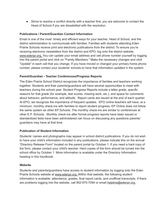● Strive to resolve a conflict directly with a teacher first; you are welcome to contact the Head of School if you are dissatisfied with the resolution.

# **Publications / Parent/Guardian Contact Information**

Email is one of the most timely and efficient ways for your teacher, Head of School, and the district administration to communicate with families. Families with students attending Eden Prairie Schools receive print and electronic publications from the district. To ensure you're receiving electronic newsletters from the district and EPO, log onto the district website, [www.edenpr.org.](http://www.edenpr.org/) You can update your email address and cell phone number yourself by logging into the parent portal and click on "Family Members." Make the necessary changes and click "Update" in each cell that you change. If you have moved or changed your primary home phone number, please contact your students' schools to have that information updated in the system.

# **Parent/Guardian - Teacher Conferences/Progress Reports**

The Eden Prairie School District recognizes the importance of families and teachers working together. Students and their parents/guardians will have several opportunities to meet with teachers during the school year. Student Progress Reports include a letter grade, specific reasons for that grade (for example, test scores, missing work, etc.), and space for comments about behavior, performance, and attitude. Report cards are issued at the end of each quarter. At EPO, we recognize the importance of frequent updates. EPO online teachers will have, at a minimum, monthly check-ins with families to report student progress. EP Online does not follow the same system as other EP Schools. The monthly check-ins are similar to conferences at other E.P. Schools. Monthly check-ins after formal progress reports have been issued or standardized tests have been administered can focus on discussing any questions parents/ guardians may have at that time.

# **Publication of Student Information**

Students' names and photographs may appear in school district publications. If you do not wish to have your child's information included in any publications, please indicate this on the annual "Directory Release Form" located on the parent portal by October 1. If you need a hard copy of the form, please contact your child's teacher. Hard copies of the form should be turned into the school office by October 1. More information is available under the Directory Information heading in this handbook.

# **Website**

Students and parents/guardians have access to student information by logging onto the Eden Prairie Schools website at [www.edenpr.org.](http://www.edenpr.org/) Within that website, the following student information is available: attendance, grades, final report cards, and unofficial transcripts. If there are problems logging into the website, call 952-975-7094 or email [helpline@edenpr.org.](mailto:helpline@edenpr.org)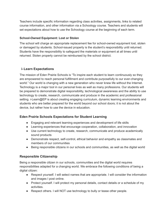Teachers include specific information regarding class activities, assignments, links to related course information, and other information via a Schoology course. Teachers and students will set expectations about how to use the Schoology course at the beginning of each term.

# **School-Owned Equipment: Lost or Stolen**

The school will charge an appropriate replacement fee for school-owned equipment lost, stolen or damaged by students. School-issued property is the student's responsibility until returned. Students have the responsibility to safeguard the materials or equipment at all times until returned. Stolen property cannot be reimbursed by the school district.

# **i-Learn Expectations**

The mission of Eden Prairie Schools is "To inspire each student to learn continuously so they are empowered to reach personal fulfillment and contribute purposefully to our ever-changing world." Our world is changing with a new generation who never knew life without the Internet. Technology is a major tool in our personal lives as well as many professions. Our students will be prepared to demonstrate digital responsibility, technological awareness and the ability to use technology to create, research, communicate and produce in the academic and professional setting. i-Learn@EP is about creating engaging curriculum, dynamic learning environments and students who are better prepared for the world beyond our school doors; it is not about the device, but rather how to use the device in education.

# **Eden Prairie Schools Expectations for Student Learning**

- Engaging and relevant learning experiences and development of life skills
- Learning experiences that encourage cooperation, collaboration, and innovation
- Use current technology to create, research, communicate and produce academically sound products
- Demonstrate respect, self-control, ethical behavior and empathy as classmates and members of our communities
- Being responsible citizens in our schools and communities, as well as the digital world

# **Responsible Citizenship**

Being a responsible citizen in our schools, communities and the digital world requires responsibilities adapted for a changing world. We embrace the following conditions of being a digital citizen:

- Respect yourself. I will select names that are appropriate. I will consider the information and images I post online.
- Protect yourself. I will protect my personal details, contact details or a schedule of my activities.
- Respect others. I will NOT use technology to bully or tease other people.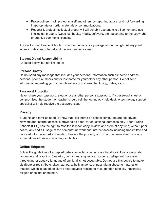- Protect others. I will protect myself and others by reporting abuse, and not forwarding inappropriate or hurtful materials or communications.
- Respect & protect intellectual property. I will suitably use and cite all content and use intellectual property (websites, books, media, software, etc.) according to the copyright or creative commons licensing.

Access to Eden Prairie Schools' owned technology is a privilege and not a right. At any point access to devices, internet and the like can be revoked.

# **Student Digital Responsibility**

As listed below, but not limited to:

# **Personal Safety**

Do not send any message that includes your personal information such as: home address, personal phone numbers and/or last name for yourself or any other person. Do not send information regarding your schedule (where you are/will be, timing, dates, etc.).

# **Password Protection**

Never share your password, steal or use another person's password. If a password is lost or compromised the student or teacher should call the technology help desk. A technology support specialist will help resolve the password issue.

# **Privacy**

Students and families need to know that files stored on school computers are not private. Network and Internet access is provided as a tool for educational purposes only. Eden Prairie Schools (EPS) has the right to monitor, inspect, copy, review, and store at any time, without prior notice, any and all usage of the computer network and Internet access including transmitted and received information. All information files are the property of EPS and no user shall have any expectations of privacy regarding such files.

# **Online Etiquette**

Follow the guidelines of accepted behaviors within your schools' handbook. Use appropriate language and graphics. Swearing, vulgarities, suggestive, obscene, belligerent, harassing, threatening or abusive language of any kind is not acceptable. Do not use this device to make, distribute or redistribute jokes, stories, to bully anyone, or pass along obscene material or material which is based on slurs or stereotypes relating to race, gender, ethnicity, nationality, religion or sexual orientation.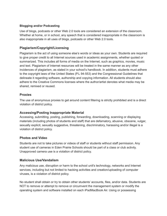# **Blogging and/or Podcasting**

Use of blogs, podcasts or other Web 2.0 tools are considered an extension of the classroom. Whether at home, or in school, any speech that is considered inappropriate in the classroom is also inappropriate in all uses of blogs, podcasts or other Web 2.0 tools.

# **Plagiarism/Copyright/Licensing**

Plagiarism is the act of using someone else's words or ideas as your own. Students are required to give proper credit to all Internet sources used in academic assignments, whether quoted or summarized. This includes all forms of media on the Internet, such as graphics, movies, music and text. Plagiarism of Internet resources will be treated in the same manner as any other incidences of plagiarism, as stated in your school's handbook. In addition, students must adhere to the copyright laws of the United States (P.L 94-553) and the Congressional Guidelines that delineate it regarding software, authorship and copying information. All students should also adhere to the Creative Commons licenses where the author/artist denotes what media may be shared, remixed or reused.

# **Proxies**

The use of anonymous proxies to get around content filtering is strictly prohibited and is a direct violation of district policy.

# **Accessing/Posting Inappropriate Material**

Accessing, submitting, posting, publishing, forwarding, downloading, scanning or displaying materials (including photos of students and staff) that are defamatory, abusive, obscene, vulgar, sexually explicit, sexually suggestive, threatening, discriminatory, harassing and/or illegal is a violation of district policy.

# **Photos and Video**

Students are not to take pictures or videos of staff or students without staff permission. Any student use of cameras in Eden Prairie Schools should be part of a class or club activity. Unapproved camera use is a violation of district policy.

# **Malicious Use/Vandalism**

Any malicious use, disruption or harm to the school unit's technology, networks and Internet services, including but not limited to hacking activities and creation/uploading of computer viruses, is a violation of district policy.

No student shall obtain or try to obtain other students' accounts, files, and/or data. Students are NOT to remove or attempt to remove or circumvent the management system or modify the operating system and software installed on each iPadMacBook Air. Using or possessing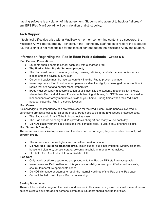hacking software is a violation of this agreement. Students who attempt to hack or "jailbreak" any EPS iPad MacBook Air will be in violation of district policy.

# **Tech Support**

If technical difficulties arise with a MacBook Air, or non-conforming content is discovered, the MacBook Air will be restored by Tech staff. If the Technology staff needs to restore the MacBook Air, the District is not responsible for the loss of content put on the MacBook Air by the student.

# **Information Regarding the iPad in Eden Prairie Schools - Grade 6-8**

# **iPad General Precautions**

- Students should come to school each day with a charged iPad.
- **The iPad is Eden Prairie Schools' property.**
- The iPad must remain free of any writing, drawing, stickers, or labels that are not issued and placed onto the device by EPS staff.
- Cords and cables must be inserted carefully into the iPad to prevent damage.
- Never expose an iPad to extreme temperatures, direct sunlight, or prolonged periods of time in rooms that are not at a normal room temperature.
- iPads must be kept in a secure location at all times; it is the student's responsibility to know where their iPad is at all times. For students learning at home, Do NOT leave unsupervised, or lend to friends or family members outside of your home. During times when the iPad is not needed, place the iPad in a secure location.

### **iPad Cases**

Acknowledging the importance of a protective case for the iPad, Eden Prairie Schools invested in purchasing protective cases for all of the iPads. iPads need to be in the EPS issued protective case.

- The iPad should ALWAYS be in its protective case.
- The iPad should be charged (EPS provides a charger) and ready to use each day.
- Do NOT place your iPad in a book bag that contains food, liquids, heavy or sharp objects.

### **iPad Screen & Cleaning**

The screens are sensitive to pressure and therefore can be damaged; they are scratch resistant, **not scratch proof**.

- The screens are made of glass and can either break or shatter.
- **Do NOT use liquids to clean the iPad**. This includes, but is not limited to: window cleaners, household cleaners, aerosol sprays, solvents, alcohol, ammonia, or abrasives.
- PLEASE USE: A soft, dry cloth or anti-static cloth.

### **iPad Care**

- Only labels or stickers approved and placed onto the iPad by EPS staff are acceptable.
- Never leave an iPad unattended. It is your responsibility to keep your iPad stored in a safe, secure, temperature appropriate space.
- Do NOT dismantle or attempt to repair the internal workings of the iPad or the iPad case.
- Contact the help desk if your iPad is not working.

### **Storing Documents**

There will be limited storage on the device and academic files take priority over personal. Several backup options exist to cloud storage or personal computers. Students should backup their files.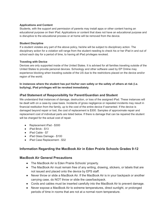### **Applications and Content**

Students, with the support and permission of parents may install apps or other content having an educational purpose on their iPad. Applications or content that does not have an educational purpose and is disruptive to the educational process or at home will be removed from the device.

### **Student Discipline**

If a student violates any part of the above policy, he/she will be subject to disciplinary action. The disciplinary action for a violation will range from the student needing to check his or her iPad in and out of school each day for a period of time, to having all iPad privileges revoked.

### **Traveling with Device**

Devices are only supported inside of the United States. It is advised for all families traveling outside of the United States to provide personal devices. Schoology and other software used by EP Online may experience blocking when traveling outside of the US due to the restrictions placed on the device and/or region of the world.

**In instances where the student has put his/her own safety or the safety of others at risk (i.e. bullying), iPad privileges will be revoked immediately.**

# **iPad Statement of Responsibility for Parent/Guardian and Student**

We understand that instances of damage, destruction, or loss of the assigned iPad. These instances will be dealt with on a case-by case basis. Incidents of gross negligence or repeated incidents may result in financial restitution from the family, up to the cost of the entire device if warranted. If the device is damaged beyond repair or lost, the cost of replacement is \$300. Samples of approximate repair and replacement cost of individual parts are listed below. If there is damage that can be repaired the student will be charged for the actual cost of repair.

- Replacement iPad \$300
- iPad Brick \$13
- iPad Cable \$7
- iPad Glass Damage \$100
- iPad Case Replacement \$32

# **Information Regarding the MacBook Air in Eden Prairie Schools Grades 9-12**

### **MacBook Air General Precautions**

- The MacBook Air is Eden Prairie Schools' property.
- The MacBook Air must remain free of any writing, drawing, stickers, or labels that are not issued and placed onto the device by EPS staff.
- Never throw or slide a MacBook Air. If the MacBook Air is in your backpack or another carrying case, do NOT throw or slide the case/backpack.
- Cords and cables must be inserted carefully into the MacBook Air to prevent damage.
- Never expose a MacBook Air to extreme temperatures, direct sunlight, or prolonged periods of time in rooms that are not at a normal room temperature.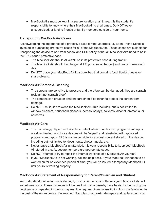● MacBook Airs must be kept in a secure location at all times; it is the student's responsibility to know where their MacBook Air is at all times. Do NOT leave unsupervised, or lend to friends or family members outside of your home.

# **Transporting MacBook Air Cases**

Acknowledging the importance of a protective case for the MacBook Air, Eden Prairie Schools invested in purchasing protective cases for all of the MacBook Airs. These cases are suitable for transporting the device to and from school and EPS policy is that all MacBook Airs need to be in the EPS issued protective case.

- The MacBook Air should ALWAYS be in its protective case during transit.
- The MacBook Air should be charged (EPS provides a charger) and ready to use each day.
- Do NOT place your MacBook Air in a book bag that contains food, liquids, heavy or sharp objects.

# **MacBook Air Screen & Cleaning**

- The screens are sensitive to pressure and therefore can be damaged; they are scratch resistant,not scratch proof.
- The screens can break or shatter; care should be taken to protect the screen from damage.
- Do NOT use liquids to clean the MacBook Air. This includes, but is not limited to: window cleaners, household cleaners, aerosol sprays, solvents, alcohol, ammonia, or abrasives.

# **MacBook Air Care**

- The Technology department is able to detect when unauthorized programs and apps are downloaded, and those devices will be "wiped" and reinstalled with approved programs and apps. EPS is not responsible for any lost content stored on the device, including but not limited to: documents, photos, music, etc.
- Never leave a MacBook Air unattended. It is your responsibility to keep your MacBook Air stored in a safe, secure, temperature appropriate space.
- Do NOT attempt to try to repair the internal workings of a MacBook Air yourself.
- If your MacBook Air is not working, call the help desk. If your MacBook Air needs to be worked on for an extended period of time, you will be issued a temporary MacBook Air until yours is working properly.

# **MacBook Air Statement of Responsibility for Parent/Guardian and Student**

We understand that instances of damage, destruction, or loss of the assigned MacBook Air will sometimes occur. These instances will be dealt with on a case-by case basis. Incidents of gross negligence or repeated incidents may result in required financial restitution from the family, up to the cost of the entire device, if warranted. Samples of approximate repair and replacement cost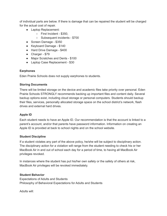of individual parts are below. If there is damage that can be repaired the student will be charged for the actual cost of repair.

- Laptop Replacement:
	- First Incident \$350,
	- Subsequent incidents \$700
- Screen Damage \$350
- Keyboard Damage \$140
- Hard Drive Damage \$400
- Charger \$79
- Major Scratches and Dents \$100
- Laptop Case Replacement \$30

# **Earphones**

Eden Prairie Schools does not supply earphones to students.

# **Storing Documents**

There will be limited storage on the device and academic files take priority over personal. Eden Prairie Schools STRONGLY recommends backing up important files and content daily. Several backup options exist, including cloud storage or personal computers. Students should backup their files, services, personally allocated storage space on the school district's network, flash drives and external hard drives.

# **Apple ID**

Each student needs to have an Apple ID. Our recommendation is that the account is linked to a parent's account, and/or that parents have password information. Information on creating an Apple ID is provided at back to school nights and on the school website.

# **Student Discipline**

If a student violates any part of the above policy, he/she will be subject to disciplinary action. The disciplinary action for a violation will range from the student needing to check his or her MacBook Air in and out of school each day for a period of time, to having all MacBook Air privileges revoked.

In instances where the student has put his/her own safety or the safety of others at risk, MacBook Air privileges will be revoked immediately.

# **Student Behavior**

Expectations of Adults and Students Philosophy of Behavioral Expectations for Adults and Students

Adults will: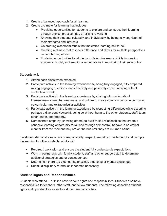- 1. Create a balanced approach for all learning
- 2. Create a climate for learning that includes:
	- Providing opportunities for students to explore and construct their learning through choice, practice, trial, error and reworking
	- Knowing their students culturally, and individually, by being fully cognizant of their strengths and interests
	- Co-creating classroom rituals that maximize learning bell-to-bell
	- Creating a climate that respects difference and allows for multiple perspectives without hurting others
	- Fostering opportunities for students to determine responsibility in meeting academic, social, and emotional expectations in monitoring their self-control

# Students will:

- 1. Attend each class when expected.
- 2. Participate actively in the learning experience by being fully engaged, fully prepared, raising engaging questions, and effectively and positively communicating with all students and staff.
- 3. Participate actively in the learning experience by sharing information about themselves— strengths, weakness, and culture to create common bonds in curricular, co-curricular and extracurricular activities.
- 4. Participate actively in the learning experience by respecting differences while asserting perhaps a divergent viewpoint, doing so without harm to the other students, staff, team, other leader, and property.
- 5. Demonstrate empathy (knowing others) to build fruitful relationships that create a cohesive learning opportunity for all and through self-control, behave in an ethical manner from the moment they are on the bus until they are returned home.

If a student demonstrates a lack of responsibility, respect, empathy or self-control and disrupts the learning for other students, adults will:

- Re-direct, work with, and ensure the student fully understands expectations
- Work in partnership with family, student, staff and other support staff to determine additional strategies and/or consequences
- Determine if there are extenuating physical, emotional or mental challenges
- Submit disciplinary referral as if deemed necessary

# **Student Rights and Responsibilities**

Students who attend EP Online have various rights and responsibilities. Students also have responsibilities to teachers, other staff, and fellow students. The following describes student rights and opportunities as well as student responsibilities.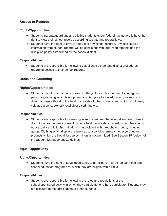# **Access to Records**

### **Rights/Opportunities:**

- Students' parents/guardians and eligible students under federal law generally have the right to view their school records according to state and federal laws.
- Students have the right to privacy regarding any school records. Any disclosure of information from student records will be consistent with legal requirements and the discipline policy established by the school district.

# **Responsibilities:**

• Students are responsible for following established school and district procedures regarding access to their school records.

# **Dress and Grooming**

# **Rights/Opportunities:**

• Students have the opportunity to wear clothing of their choosing and to engage in personal grooming which is not potentially disruptive to the education process, which does not pose a threat to the health or safety of other students and which is not lewd, vulgar, obscene, sexually explicit or discriminatory.

### **Responsibilities:**

● Students are responsible for dressing in such a manner that is not disruptive or likely to disrupt the learning environment, is not a health and safety hazard, is not obscene, is not sexually explicit, discriminatory or associated with threat/hate groups, including gangs. Clothing which displays references to alcohol, chemicals, tobacco or other products which are illegal for use by minors is not permitted. See Section 15 (below) of the Student Management Guidelines.

# **Equal Opportunity**

### **Rights/Opportunities:**

● Students have the right of equal opportunity to participate in all school activities and school education programs for which they are eligible within limits.

### **Responsibilities:**

Students are responsible for following the rules and regulations of the school-sponsored activity in which they participate, or others participate. Students may not discourage the participation of other students.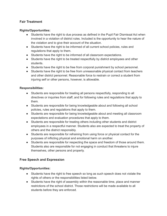# **Fair Treatment**

# **Rights/Opportunities:**

- Students have the right to due process as defined in the Pupil Fair Dismissal Act when involved in a violation of district rules. Included is the opportunity to hear the nature of the violation and to give their account of the situation.
- Students have the right to be informed of all current school policies, rules and regulations that apply to them.
- Students have the right to be informed of all classroom expectations.
- Students have the right to be treated respectfully by district employees and other students.
- Students have the right to be free from corporal punishment by school personnel.
- Students have the right to be free from unreasonable physical contact from teachers and other district personnel. Reasonable force to restrain or correct a student from injuring self or other persons, however, is allowable.

# **Responsibilities:**

- Students are responsible for treating all persons respectfully, responding to all directives or inquiries from staff, and for following rules and regulations that apply to them.
- Students are responsible for being knowledgeable about and following all school policies, rules and regulations that apply to them.
- Students are responsible for being knowledgeable about and meeting all classroom expectations and evaluation procedures that apply to them.
- Students are responsible for treating others including other students and district employees in a respectful manner. Students also are expected to treat the property of others and the district responsibly.
- Students are responsible for refraining from using force or physical contact for the purposes of inflicting physical and emotional harm on another.
- Students are responsible for respecting the space and freedom of those around them. Students also are responsible for not engaging in conduct that threatens to injure themselves, other persons and property.

# **Free Speech and Expression**

# **Rights/Opportunities:**

- Students have the right to free speech so long as such speech does not violate the rights of others or the responsibilities listed below.
- Students have the right of assembly within the reasonable time, place and manner restrictions of the school district. Those restrictions will be made available to all students before they are enforced.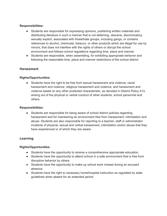# **Responsibilities:**

- Students are responsible for expressing opinions, publishing written materials and distributing literature in such a manner that is not defaming, obscene, discriminatory, sexually explicit, associated with threat/hate groups, including gangs, or contains references to alcohol, chemicals, tobacco, or other products which are illegal for use by minors, that does not interfere with the rights of others or disrupt the school environment and follows school regulations regarding time, place and manner.
- Students are responsible, when assembling, for exhibiting appropriate behavior and following the reasonable time, place and manner restrictions of the school district.

# **Harassment**

# **Rights/Opportunities:**

● Students have the right to be free from sexual harassment and violence, racial harassment and violence, religious harassment and violence, and harassment and violence based on any other protected characteristic, as denoted in District Policy 413, arising out of the physical or verbal conduct of other students, school personnel and others.

### **Responsibilities:**

● Students are responsible for being aware of school district policies regarding harassment and for maintaining an environment free from harassment, intimidation and abuse. Students are also responsible for reporting to a teacher, staff or administrator incidents of physical, sexual and verbal harassment, intimidation and/or abuse that they have experienced or of which they are aware.

# **Learning**

### **Rights/Opportunities:**

- Students have the opportunity to receive a comprehensive appropriate education.
- Students have the opportunity to attend school in a safe environment that is free from disruptive behavior by others.
- Students have the opportunity to make up school work missed during an excused absence.
- Students have the right to necessary home/hospital instruction as regulated by state guidelines when absent for an extended period.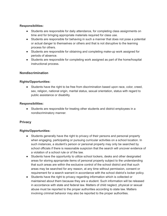# **Responsibilities:**

- Students are responsible for daily attendance, for completing class assignments on time and for bringing appropriate materials required for class use.
- Students are responsible for behaving in such a manner that does not pose a potential or actual danger to themselves or others and that is not disruptive to the learning process for others.
- Students are responsible for obtaining and completing make-up work assigned for periods of absence.
- Students are responsible for completing work assigned as part of the home/hospital instructional process.

# **Nondiscrimination**

# **Rights/Opportunities:**

● Students have the right to be free from discrimination based upon race, color, creed, sex, religion, national origin, marital status, sexual orientation, status with regard to public assistance or disability.

# **Responsibilities:**

● Students are responsible for treating other students and district employees in a nondiscriminatory manner.

# **Privacy**

# **Rights/Opportunities:**

- Students generally have the right to privacy of their persons and personal property when engaging, participating or pursuing curricular activities on a school location. In such instances, a student's person or personal property may only be searched by school officials if there is reasonable suspicion that the search will uncover evidence of a violation of a school rule or of the law.
- Students have the opportunity to utilize school lockers, desks and other designated areas for storing appropriate items of personal property subject to the understanding that such areas are within the exclusive control of the school district and that such areas may be searched for any reason, at any time without permission, consent or requirement for a search warrant in accordance with the school district's locker policy.
- Students have the right to privacy regarding information which is collected or maintained about them because they are a student. Such information will be released in accordance with state and federal law. Matters of child neglect, physical or sexual abuse must be reported to the proper authorities according to state law. Matters involving criminal behavior may also be reported to the proper authorities.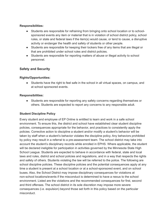# **Responsibilities:**

- Students are responsible for refraining from bringing onto school location or to schoolsponsored events any item or material that is in violation of school district policy, school rules, or state and federal laws if the item(s) would cause, or tend to cause, a disruptive activity or endanger the health and safety of students or other people.
- Students are responsible for keeping their lockers free of any items that are illegal or that are prohibited under school rules and district policies.
- Students are responsible for reporting matters of abuse or illegal activity to school personnel.

# **Safety and Security**

# **Rights/Opportunities:**

● Students have the right to feel safe in the school in all virtual spaces, on campus, and at school sponsored events.

# **Responsibilities:**

● Students are responsible for reporting any safety concerns regarding themselves or others. Students are expected to report any concerns to any responsible adult.

# **Student Discipline Policy**

Every student and employee of EP Online is entitled to learn and work in a safe school environment. To ensure this, the district and school have established clear student discipline policies, consequences appropriate for the behavior, and practices to consistently apply the policies. Corrective action to discipline a student and/or modify a student's behavior will be taken by staff when a student's behavior violates the discipline policy. Any behaviors prohibited by policy may result in a referral to a pre-assessment team. The school district may take into account the student's disciplinary records while enrolled in EPHS. Where applicable, the student will be declared ineligible for participation in activities governed by the Minnesota State High School League. Students are expected to behave in accordance with federal, state and local laws and rules, district and school policies and regulations, and in a way that respects the rights and safety of others. Students violating the law will be referred to the police. The following are school discipline policies. These discipline policies and the potential consequences apply at any time a student is present at a school location or at a school-sponsored event, and on school buses. Also, the School District may impose disciplinary consequences for violations at non-school locations/events if the misconduct is determined to have a nexus to the school environment. Listed are the violations and the recommended consequences for first, second and third offenses. The school district in its sole discretion may impose more severe consequences (i.e. expulsion) beyond those set forth in this policy based on the particular misconduct.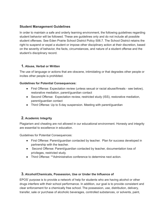# **Student Management Guidelines**

In order to maintain a safe and orderly learning environment, the following guidelines regarding student behavior will be followed. These are guidelines only and do not include all possible student offenses. See Eden Prairie School District Policy 506.7. The School District retains the right to suspend or expel a student or impose other disciplinary action at their discretion, based on the severity of behavior, the facts, circumstances, and nature of a student offense and the student's disciplinary record.

# **1. Abuse, Verbal or Written**

The use of language or actions that are obscene, intimidating or that degrades other people or incites other people is prohibited.

# **Guidelines for Potential Consequences:**

- First Offense: Expectation review (unless sexual or racial abuse/threats see below), restorative mediation, parent/guardian contact
- Second Offense: Expectation review, restricted study (ISS), restorative mediation, parent/guardian contact
- Third Offense: Up to 5-day suspension. Meeting with parent/guardian

# **2. Academic Integrity**

Plagiarism and cheating are not allowed in our educational environment. Honesty and integrity are essential to excellence in education.

Guidelines for Potential Consequences:

- First Offense: Parent/guardian contacted by teacher. Plan for success developed in partnership with the teacher.
- Second Offense: Parent/guardian contacted by teacher, documentation loss of privileges, restricted study.
- Third Offense: \*\*Administrative conference to determine next action.

# **3. Alcohol/Chemicals, Possession, Use or Under the Influence of**

EPOS' purpose is to provide a network of help for students who are having alcohol or other drugs interfere with their school performance. In addition, our goal is to provide consistent and clear enforcement for a chemically free school. The possession, use, distribution, delivery, transfer, sale or purchase of alcoholic beverages, controlled substances, or solvents, paint,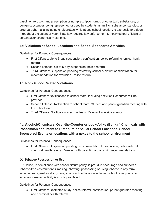gasoline, aerosols, and prescription or non-prescription drugs or other toxic substances, or benign substances being represented or used by students as an illicit substance, steroids, or drug paraphernalia including e- cigarettes while at any school location, is expressly forbidden throughout the calendar year. State law requires law enforcement to notify school officials of certain alcohol/chemical violations.

# **4a: Violations at School Locations and School Sponsored Activities**

Guidelines for Potential Consequences:

- First Offense: Up to 3-day suspension, confiscation, police referral, chemical health referral
- Second Offense: Up to 5-day suspension, police referral.
- Third Offense: Suspension pending review by school & district administration for recommendation for expulsion. Police referral.

# **4b. Non-School Related Violations**

Guidelines for Potential Consequences:

- First Offense: Notifications to school team, including activities Resources will be provided.
- Second Offense: Notification to school team. Student and parent/guardian meeting with the school team.
- Third Offense: Notification to school team. Referral to outside agency.

# **4c: Alcohol/Chemicals, Over-the-Counter or Look-A-like (Benign) Chemicals with Possession and Intent to Distribute or Sell at School Locations, School Sponsored Events or locations with a nexus to the school environment**

Guidelines for Potential Consequences:

● First Offense: Suspension pending recommendation for expulsion, police referral, chemical health referral. Meeting with parent/guardians with recommendations.

# **5: Tobacco Possession or Use**

EP Online, in compliance with school district policy, is proud to encourage and support a tobacco-free environment. Smoking, chewing, possessing or using tobacco in any form including e- cigarettes at any time, at any school location including school vicinity, or at a school-sponsored activity is strictly prohibited.

Guidelines for Potential Consequences:

● First Offense: Restricted study, police referral, confiscation, parent/quardian meeting, and chemical health referral.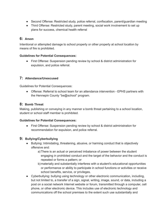- Second Offense: Restricted study, police referral, confiscation, parent/guardian meeting
- Third Offense: Restricted study, parent meeting, social work involvement to set up plans for success, chemical health referral

# **6: Arson**

Intentional or attempted damage to school property or other property at school location by means of fire is prohibited.

# **Guidelines for Potential Consequences:**

● First Offense: Suspension pending review by school & district administration for expulsion, and police referral.

# **7: Attendance/Unexcused**

Guidelines for Potential Consequences:

● Offense: Referral to school team for an attendance intervention - EPHS partners with the Hennepin County "be@school" program.

# **8: Bomb Threat**

Making, publishing or conveying in any manner a bomb threat pertaining to a school location, student or school staff member is prohibited.

# **Guidelines for Potential Consequences:**

● First Offense: Suspension pending review by school & district administration for recommendation for expulsion, and police referral.

# **9: Bullying/Cyberbullying**

- Bullying: Intimidating, threatening, abusive, or harming conduct that is objectively offensive and:
	- a)There is an actual or perceived imbalance of power between the student engaging in prohibited conduct and the target of the behavior and the conduct is repeated or forms a pattern; or
	- b)materially and substantially interferes with a student's educational opportunities or performance or ability to participate in school functions or activities or receive school benefits, service, or privileges.
- Cyberbullying: bullying using technology or other electronic communication, including, but not limited to, a transfer of a sign, signal, writing, image, sound, or data, including a post on a social network Internet website or forum, transmitted through a computer, cell phone, or other electronic device. This includes use of electronic technology and communications off the school premises to the extent such use substantially and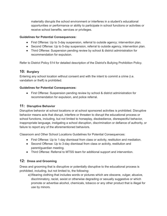materially disrupts the school environment or interferes in a student's educational opportunities or performance or ability to participate in school functions or activities or receive school benefits, services or privileges.

# **Guidelines for Potential Consequences:**

- First Offense: Up to 3-day suspension, referral to outside agency; intervention plan.
- Second Offense: Up to 5-day suspension, referral to outside agency, intervention plan.
- Third Offense: Suspension pending review by school & district administration for recommendation for expulsion.

Refer to District Policy 514 for detailed description of the District's Bullying Prohibition Policy.

# **10: Burglary**

Entering any school location without consent and with the intent to commit a crime (i.e. vandalism or theft) is prohibited.

# **Guidelines for Potential Consequences:**

● First Offense: Suspension pending review by school & district administration for recommendation for expulsion, and police referral.

# **11: Disruptive Behavior**

Disruptive behavior at school locations or at school sponsored activities is prohibited. Disruptive behavior means acts that disrupt, interfere or threaten to disrupt the educational process or school functions, including, but not limited to horseplay, disobedience, disrespectful behavior, inappropriate language, instigating a school disruption, discrimination or defiance of authority, or failure to report any of the aforementioned behaviors.

Classroom and Other School Locations Guidelines for Potential Consequences:

- First Offense: Up to 1-day dismissal from class or activity, restitution and mediation.
- Second Offense: Up to 3-day dismissal from class or activity, restitution and parent/guardian meeting.
- Third Offense: Referral to MTSS team for additional support and intervention.

# **12: Dress and Grooming**

Dress and grooming that is disruptive or potentially disruptive to the educational process is prohibited, including, but not limited to, the following:

a)Wearing clothing that includes words or pictures which are obscene, vulgar, abusive, discriminatory, racist, sexist or otherwise degrading or sexually suggestive or which promote or advertise alcohol, chemicals, tobacco or any other product that is illegal for use by minors.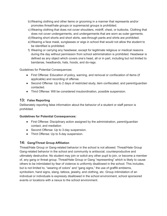- b)Wearing clothing and other items or grooming in a manner that represents and/or promotes threat/hate groups or supremacist groups is prohibited.
- c) Wearing clothing that does not cover shoulders, midriff, chest, or buttocks. Clothing that does not cover undergarments, and undergarments that are worn as outer garments.
- d)Wearing short shorts and short skirts, see-through pants and shirts are prohibited.
- e)Wearing a face mask, sunglasses or wigs in school that would not allow the student to be identified is prohibited.
- f) Wearing or carrying any headwear, except for legitimate religious or medical reasons during the day without permission from school administration is prohibited. Headwear is defined as any object which covers one's head, all or in part, including but not limited to bandanas, headbands, hats, hoods, and do-rags.

Guidelines for Potential Consequences:

- First Offense: Education of policy, warning, and removal or confiscation of items (if applicable) and recording of offense.
- Second Offense: Up to 2 days of restricted study, item confiscated, and parent/guardian contacted.
- Third Offense: Will be considered insubordination, possible suspension.

# **13: False Reporting**

Deliberately reporting false information about the behavior of a student or staff person is prohibited.

# **Guidelines for Potential Consequences:**

- First Offense: Disciplinary action assigned by the administration, parent/guardian contact, and mediation
- Second Offense: Up to 3-day suspension.
- Third Offense: Up to 5-day suspension.

# **14: Gang/Threat Group Affiliation**

Threat/Hate Group or Gang-related behavior in the school is not allowed. Threat/Hate Group Gang-related behavior in the school and community is antisocial, counterproductive and ultimately destructive. No student may join or solicit any other pupil to join, or become a member of, any gang or threat group. Threat/Hate Group or Gang "representing" which is likely to cause others to be intimidated by fear of violence is uniformly disallowed in the school. This includes, but is not limited to, "wearing of colors" and "gang signs," the use of graffiti emblems, symbolism, hand signs, slang, tattoos, jewelry, and clothing, etc. Group intimidation of an individual or individuals is expressly disallowed in the school environment, school sponsored events or locations with a nexus to the school environment.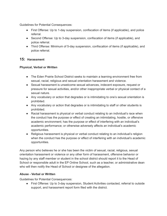Guidelines for Potential Consequences:

- First Offense: Up to 1-day suspension, confiscation of items (if applicable), and police referral.
- Second Offense: Up to 3-day suspension, confiscation of items (if applicable), and police referral.
- Third Offense: Minimum of 5-day suspension, confiscation of items (if applicable), and police referral.

# **15: Harassment**

# **Physical, Verbal or Written**

- The Eden Prairie School District seeks to maintain a learning environment free from sexual, racial, religious and sexual orientation harassment and violence.
- Sexual harassment is unwelcome sexual advances, indecent exposure, request or pressure for sexual activities, and/or other inappropriate verbal or physical contact of a sexual nature.
- Any vocabulary or action that degrades or is intimidating to one's sexual orientation is prohibited.
- Any vocabulary or action that degrades or is intimidating to staff or other students is prohibited.
- Racial harassment is physical or verbal conduct relating to an individual's race when the conduct has the purpose or effect of creating an intimidating, hostile, or offensive academic environment; has the purpose or effect of interfering with an individual's academic performance; or otherwise adversely affects an individual's academic opportunities.
- Religious harassment is physical or verbal conduct relating to an individual's religion when the conduct has the purpose or effect of interfering with an individual's academic opportunities.

Any person who believes he or she has been the victim of sexual, racial, religious, sexual orientation harassment or violence or any other form of harassment, offensive behavior or hazing by any staff member or student in the school district should report it to the Head of School or responsible adult in the EP Online School, such as a teacher, or administrative dean who will then notify the Head of School or designee of the allegation.

# **Abuse - Verbal or Written**

Guidelines for Potential Consequences:

● First Offense: Up to 3-day suspension, Student Activities contacted, referral to outside support, and harassment report form filed with the district.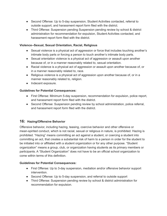- Second Offense: Up to 5-day suspension, Student Activities contacted, referral to outside support, and harassment report form filed with the district.
- Third Offense: Suspension pending Suspension pending review by school & district administration for recommendation for expulsion, Student Activities contacted, and harassment report form filed with the district.

# **Violence--Sexual, Sexual Orientation, Racial, Religious**

- Sexual violence is a physical act of aggression or force that includes touching another's intimate body parts or forcing a person to touch another's intimate body parts.
- Sexual orientation violence is a physical act of aggression or assault upon another because of, or in a manner reasonably related to, sexual orientation.
- Racial violence is a physical act of aggression or assault upon another because of, or in a manner reasonably related to, race.
- Religious violence is a physical act of aggression upon another because of, or in a manner reasonably related to, religion.
- Indecent exposure.

# **Guidelines for Potential Consequences:**

- First Offense: Minimum 5-day suspension, recommendation for expulsion, police report, and harassment report form filed with the district.
- Second Offense: Suspension pending review by school administration, police referral, and harassment report form filed with the district.

# **16: Hazing/Offensive Behavior**

Offensive behavior, including hazing, teasing, coercive behavior and other offensive or mean-spirited conduct, which is not racial, sexual or religious in nature, is prohibited. Hazing is prohibited. "Hazing" means committing an act against a student, or coercing a student into committing an act, that creates a substantial risk of harm to a person in order for the student to be initiated into or affiliated with a student organization or for any other purpose. "Student organization" means a group, club, or organization having students as its primary members or participants. A "Student Organization" does not have to be an official school organization to come within terms of this definition.

# **Guidelines for Potential Consequences:**

- First Offense: Up to 3-day suspension, mediation and/or offensive behavior support intervention.
- Second Offense: Up to 5-day suspension, and referral to outside support
- Third Offense: Suspension pending review by school & district administration for recommendation for expulsion.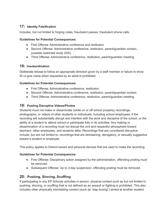# **17: Identity Falsification**

Includes, but not limited to forging notes, fraudulent passes, fraudulent phone calls.

# **Guidelines for Potential Consequences:**

- First Offense: Administrative conference and restitution
- Second Offense: Administrative conference, restitution, parent/guardian contact,, possible restricted study (ISS)
- Third Offense: Administrative conference, restitution, parent/guardian meeting.

# **18: Insubordination**

Deliberate refusal to follow an appropriate direction given by a staff member or failure to show ID or give name when requested by an adult is prohibited.

# **Guidelines for Potential Consequences:**

- First Offense: Administrative conference, restitution.
- Second Offense: Administrative conference, restitution, parent/quardian contact.
- Third Offense: Administrative conference, restitution, parent/guardian meeting.

# **19: Posting Disruptive Videos/Photos**

Students must not make or disseminate (while on or off school property) recordings, photographs, or videos of other students or individuals, including school employees, if the recording will substantially disrupt and interfere with the work and discipline of the school, or the ability of a student to attend school or participate fully in its activities. Any making or dissemination of a recording must not disrupt the civil and respectful atmosphere toward teachers, other employees, and students alike. Recordings that are considered disruptive include, but are not limited to, recordings that are demeaning, derogatory, or sexually suggestive toward a student or employee.

This policy applies to District-issued and personal devices that are used to make the recording.

# **Guidelines for Potential Consequences:**

- First Offense: Disciplinary action assigned by the administration, offending posting must be removed.
- Subsequent Offense: Up to 3-day suspension, offending posting must be removed.

# **20: Pushing, Shoving, Scuffling**

If participating in any EP Schools activities in person, physical contact such as but not limited to pushing, shoving, or scuffling that is not defined as an assault or fighting is prohibited. This also includes other physically intimidating contact (such as "slap boxing") aimed at another student.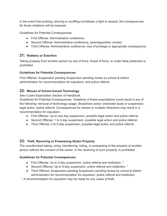In the event that pushing, shoving or scuffling constitutes a fight or assault, the consequences for those violations will be imposed.

Guidelines for Potential Consequences:

- First Offense: Administrative conference.
- Second Offense: Administrative conference, parent/guardian contact.
- Third Offense: Administrative conference, loss of privilege or appropriate consequence.

# **21: Robbery or Extortion**

Taking property from another person by use of force, threat of force, or under false pretenses is prohibited.

# **Guidelines for Potential Consequences:**

First Offense: Suspension pending Suspension pending review by school & district administration for recommendation for expulsion, and police referral.

# **22: Misuse of School Issued Technology**

See i-Learn Expectation Section of Handbook

Guidelines for Potential Consequences: Violations of these expectations could result in any of the following: removal of technology usage, disciplinary action (restricted study or suspension, legal action, police referral. Consequences for severe or multiple infractions may result in a recommendation for expulsion.

- First Offense: Up to one day suspension, possible legal action and police referral.
- Second Offense: 1 to 3-day suspension, possible legal action and police referral.
- Third Offense: 3 to 5-day suspension, possible legal action and police referral.

# **23: Theft, Receiving or Possessing Stolen Property**

The unauthorized taking, using, transferring, hiding, or possessing of the property of another person without the consent of the owner, or the receiving of such property, is prohibited.

# **Guidelines for Potential Consequences:**

- First Offense: Up to 3-day suspension, police referral and restitution. \*
- Second Offense: Up to 5-day suspension, police referral and restitution. \*
- Third Offense: Suspension pending Suspension pending review by school & district administration for recommendation for expulsion, police referral and restitution.

\* A recommendation for expulsion may be made for any cases of theft.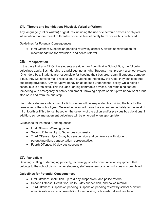# **24: Threats and Intimidation; Physical, Verbal or Written**

Any language (oral or written) or gestures including the use of electronic devices or physical intimidation that are meant to threaten or cause fear of bodily harm or death is prohibited.

Guidelines for Potential Consequences:

● First Offense: Suspension pending review by school & district administration for recommendation for expulsion, and police referral.

# **25: Transportation**

In the case that any EP Online students are riding an Eden Prairie School Bus, the following guidelines apply. Bus ridership is a privilege, not a right. Students must present a school picture ID to ride a bus. Students are responsible for keeping their bus area clean. If students damage a bus, they will have to make restitution. If students do not follow the rules, they can lose their bus riding privileges. Any disruptive behavior, as defined under school policy, while riding a school bus is prohibited. This includes lighting flammable devices, not remaining seated, tampering with emergency or safety equipment, throwing objects or disruptive behavior at a bus stop or to and from the bus stop.

Secondary students who commit a fifth offense will be suspended from riding the bus for the remainder of the school year. Severe behavior will move the student immediately to the level of third, fourth or fifth offense, based on the severity of the action and/or previous bus violations. In addition, school management guidelines will be enforced when appropriate.

Guidelines for Potential Consequences:

- First Offense: Warning given.
- Second Offense: Up to 3-day bus suspension.
- Third Offense: Up to 5-day bus suspension and conference with student, parent/guardian, transportation representative.
- Fourth Offense: 10-day bus suspension.

# **27: Vandalism**

Defacing, cutting or damaging property, technology or telecommunication equipment that belongs to the school district, other students, staff members or other individuals is prohibited.

# **Guidelines for Potential Consequences:**

- First Offense: Restitution, up to 3-day suspension, and police referral.
- Second Offense: Restitution, up to 5-day suspension, and police referral.
- Third Offense: Suspension pending Suspension pending review by school & district administration for recommendation for expulsion, police referral and restitution.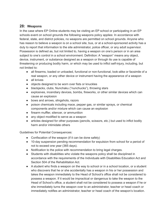# **28: Weapons**

In the case where EP Online students may be visiting an EP school or participating in an EP schools event on school grounds the following weapons policy applies: In accordance with federal, state, and district policies, no weapons are permitted on school grounds. Anyone who has reason to believe a weapon is on a school site, bus, or at a school-sponsored activity has a duty to report that information to the site administrator, police officer, or any adult supervisor. Possession is defined as, but not limited to, having a weapon on one's person or in an area subject to one's control in a school environment. Definition: A "weapon" means any object, device, instrument, or substance designed as a weapon or through its use is capable of threatening or producing bodily harm, or which may be used to inflict self-injury, including, but not limited to:

- all firearms, loaded or unloaded, functional or non-functional, look-alike or facsimile of a real weapon, or any other device or instrument having the appearance of a weapon
- all knives
- objects designed to be worn over fists or knuckles
- blackjacks, clubs, Nunchaku ("nunchucks"), throwing stars
- explosives, incendiary devices, bombs, fireworks, or other similar devices which can cause an explosion
- bows and arrows, slingshots, razors
- poison chemicals including mace, pepper gas, or similar sprays, or chemical components and/or mixture which can cause an explosion
- firearm muffler, silencer, or ammunition
- any object modified to serve as a weapon
- articles designed for other purposes (pencils, scissors, etc.) but used to inflict bodily harm and/or intimidate others

Guidelines for Potential Consequences:

- Confiscation of the weapon (if it can be done safely)
- 10-day suspension pending recommendation for expulsion from school for a period of not to exceed one year (365 days).
- Notification to the police with recommendation to bring legal charges.
- Students with disabilities who violate the weapons policy shall be disciplined in accordance with the requirements of the Individuals with Disabilities Education Act and Section 504 of the Rehabilitation Act.
- A student who finds a weapon on the way to school or in a school location, or a student who discovers that he or she accidentally has a weapon in his or her possession and takes the weapon immediately to the Head of School's office shall not be considered to possess a weapon. If it would be impractical or dangerous to take the weapon to the Head of School's office, a student shall not be considered to possess a weapon if he or she immediately turns the weapon over to an administrator, teacher or head coach or immediately notifies an administrator, teacher or head coach of the weapon's location.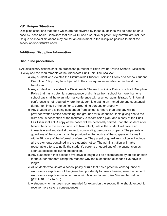# **29: Unique Situations**

Discipline situations that arise which are not covered by these guidelines will be handled on a case-by- case basis. Behaviors that are willful and disruptive or potentially harmful are included. Unique or special situations may call for an adjustment in the discipline policies to meet the school and/or district's need.

# **Additional Discipline Information**

# **Discipline procedures**

- 1.All disciplinary actions shall be processed pursuant to Eden Prairie Online Schools' Discipline Policy and the requirements of the Minnesota Pupil Fair Dismissal Act.
	- a.Any student who violates the District-wide Student Discipline Policy or a school Student Discipline Policy may be subjected to the consequences established in the student handbook.
	- b.Any student who violates the District-wide Student Discipline Policy or school Discipline Policy that has a potential consequence of dismissal from school for more than one school day shall have an informal conference with a school administrator. An informal conference is not required where the student is creating an immediate and substantial danger to himself or herself or to surrounding persons or property.
	- c. Any student who is being suspended from school for more than one day will be provided written notice containing: the grounds for suspension, facts giving rise to the dismissal, a description of the testimony, a readmission plan, and a copy of the Pupil Fair Dismissal Act. A copy of the notice will be personally served upon the student at or before the time the suspension is to take effect, unless the student will create an immediate and substantial danger to surrounding persons or property. The parents or guardians of the student shall be provided written notice of the suspension by mail within 48 hours of the informal conference. The parent or guardian's notice will include all the elements contained in the student's notice. The administration will make reasonable efforts to notify the student's parents or guardians of the suspension as soon as possible following suspension.
	- d.Any suspension that exceeds five days in length will be accompanied by an explanation to the superintendent listing the reasons why the suspension exceeded five days in length.
	- e.All students who violate a school policy or rule that has a potential consequence of exclusion or expulsion will be given the opportunity to have a hearing over the issue of exclusion or expulsion in accordance with Minnesota law. (See Minnesota Statute §121A.40 to 121A.56.)
	- f. A student who has been recommended for expulsion the second time should expect to receive more severe consequences.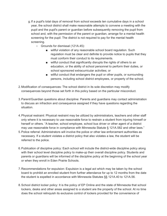- g.If a pupil's total days of removal from school exceeds ten cumulative days in a school year, the school district shall make reasonable attempts to convene a meeting with the pupil and the pupil's parent or guardian before subsequently removing the pupil from school and, with the permission of the parent or guardian, arrange for a mental health screening for the pupil. The district is not required to pay for the mental health screening.
	- Grounds for dismissal (121A.45):
		- willful violation of any reasonable school board regulation. Such regulation must be clear and definite to provide notice to pupils that they must conform their conduct to its requirements.
		- willful conduct that significantly disrupts the rights of others to an education, or the ability of school personnel to perform their duties, or school sponsored extracurricular activities; or
		- willful conduct that endangers the pupil or other pupils, or surrounding persons, including school district employees, or property of the school.
- 2.Modification of consequences: The school district in its sole discretion may modify consequences beyond those set forth in this policy based on the particular misconduct.
- 3.Parent/Guardian questions about discipline: Parents and guardians may contact administration to discuss an infraction and consequence assigned if they have questions regarding the situation.
- 4.Physical restraint: Physical restraint may be utilized by administrators, teachers and other staff only where it is necessary to use reasonable force to restrain a student from injuring himself or herself or others. "A teacher, school employee, school bus driver or other agent of a district may use reasonable force in compliance with Minnesota Statute § 121A.582 and other laws."
- 5.Police referral: Administrators will involve the police or other law enforcement authorities as necessary. If a student violates a district policy that also violates a law, the student will be referred to the police.
- 6.Publication of discipline policy: Each school will include the district-wide discipline policy along with their school level discipline policy to make-up their overall discipline policy. Students and parents or guardians will be informed of the discipline policy at the beginning of the school year or when they enroll in Eden Prairie Schools.
- 7.Recommendations for expulsion: Expulsion is a legal act which may be taken by the school board to prohibit an enrolled student from further attendance for up to 12 months from the date the student is expelled in accordance with Minnesota Statutes §§ 121A.40 to 121A.56.
- 8.School district locker policy: It is the policy of EP Online and the state of Minnesota that school lockers, desks and other areas assigned to a student are the property of the school. At no time does the school relinquish its exclusive control of lockers provided for the convenience of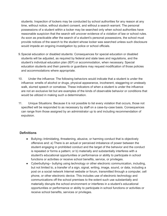students. Inspection of lockers may be conducted by school authorities for any reason at any time, without notice, without student consent, and without a search warrant. The personal possessions of a student within a locker may be searched only when school authorities have reasonable suspicion that the search will uncover evidence of a violation of law or school rules. As soon as practicable after the search of a student's personal possessions, the school must provide notices of the search to the student whose locker was searched unless such disclosure would impede an ongoing investigation by police or school officials.

- 9.Special education or disabled students: Consequences for special education or disabled students will be adjusted, as required by federal and state laws and regulations, and the student's individual education plan (IEP) or accommodation, when necessary. Special education students and their parents or guardians may request modification of those policies and accommodations where appropriate.
- 10. Under the influence: The following behaviors would indicate that a student is under the influence: smells of alcohol or drugs, physical appearance, incoherent, staggering or unsteady walk, slurred speech or comatose. These indicators of when a student is under the influence are not an exclusive list but are examples of the kinds of observable behavior or conditions that would be utilized in making such a determination.
- 11. Unique Situations: Because it is not possible to list every violation that occurs, those not specified will be responded to as necessary by staff on a case-by-case basis. Consequences can range from those assigned by an administrator up to and including recommendation of expulsion.

# **Definitions**

- Bullying--Intimidating, threatening, abusive, or harming conduct that is objectively offensive and: a) There is an actual or perceived imbalance of power between the student engaging in prohibited conduct and the target of the behavior and the conduct is repeated or forms a pattern; or b) materially and substantially interferes with a student's educational opportunities or performance or ability to participate in school functions or activities or receive school benefits, service, or privileges.
- Cyberbullying-- bullying using technology or other electronic communication, including, but not limited to, a transfer of a sign, signal, writing, image, sound, or data, including a post on a social network Internet website or forum, transmitted through a computer, cell phone, or other electronic device. This includes use of electronic technology and communications off the school premises to the extent such use substantially and materially disrupts the school environment or interferes in a student's educational opportunities or performance or ability to participate in school functions or activities or receive school benefits, services or privileges.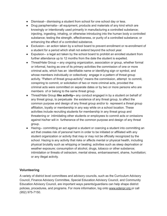- Dismissal-- dismissing a student from school for one school day or less.
- Drug paraphernalia-- all equipment, products and materials of any kind which are knowingly or intentionally used primarily in manufacturing a controlled substance; injecting, ingesting, inhaling, or otherwise introducing into the human body a controlled substance; testing the strength, effectiveness, or purity of a controlled substance; or enhancing the effect of a controlled substance.
- Exclusion-- an action taken by a school board to prevent enrollment or re-enrollment of a student for a period which shall not extend beyond the school year.
- Expulsion-- a legal act taken by the school board to prohibit an enrolled student from further attendance up to 12 months from the date the student is expelled.
- Threat/Hate Group **--** any ongoing organization, association or group, whether formal or informal, having as one of its primary activities the commission of one or more criminal acts, which has an identifiable name or identifying sign or symbol, and whose members individually or collectively engage in a pattern of threat group activity. "Pattern of threat group activity" means the commission, attempt to commit, conspiring to commit, or solicitation of two or more criminal acts, provided the criminal acts were committed on separate dates or by two or more persons who are members of or belong to the same threat group.
- Threat/Hate Group **like activity--** any conduct engaged in by a student on behalf of any threat group, to perpetuate the existence of any threat group, to affect the common purpose and design of any threat group and/or to represent a threat group affiliation, loyalty or membership in any way while on a school location. These activities include recruiting students for membership in any threat group and threatening or intimidating other students or employees to commit acts or omissions against his/her will in furtherance of the common purpose and design of any threat group.
- Hazing-- committing an act against a student or coercing a student into committing an act that creates risk of personal harm in order to be initiated or affiliated with any student organization or activity that may or may not be officially recognized by the school. Hazing is any activity that risks or affects mental or physical health, including physical brutality such as whipping or beating; activities such as sleep deprivation or weather exposure; consumption of alcohol, drugs, tobacco or other substance; intimidation or threats of ostracism, mental stress, embarrassment, shame, humiliation; or any illegal activity.

# **Volunteering**

A variety of district level committees and advisory councils, such as the Curriculum Advisory Council, Finance Advisory Committee, Special Education Advisory Council, and Community Education Advisory Council, are important ways parents/guardians can help shape district policies, procedures, and programs. For more information, log onto [www.edenpr.org](http://www.edenpr.org/) or call (952) 975-7150.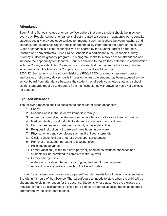# **Attendance**

Eden Prairie Schools values attendance. We believe that every student should be in school every day. Regular school attendance is directly related to success in academic work, benefits students socially, provides opportunities for important communications between teachers and students, and establishes regular habits of dependability important to the future of the student. Class attendance is a joint responsibility to be shared by the student, parent or guardian, teacher, and administrators. Eden Prairie Schools is a participant in the Hennepin County Attorney's Office be@school program. This program seeks to improve school attendance and increase the opportunity for Hennepin County's children to realize their potential. In collaboration with the County efforts, Eden Prairie aims to have each student attend school every day. In accordance with the Minnesota Compulsory Instruction Law, Minn. Stat.

120A.22, the students of the school district are REQUIRED to attend all assigned classes and/or study halls every day school is in session, unless the student has been excused by the school board from attendance because the student has already completed state and school district standards required to graduate from high school, has withdrawn, or has a valid excuse for absence.

# **Excused Absences**

The following reasons shall be sufficient to constitute excused absences:

- 1. Illness
- 2. Serious illness in the student's immediate family
- 3. A death or funeral in the student's immediate family or of a close friend or relative
- 4. Medical, dental, or orthodontic treatment, or counseling appointment
- 5. Court appearances occasioned by family or personal action
- 6. Religious instruction not to exceed three hours in any week
- 7. Physical emergency conditions such as fire, flood, storm, etc.
- 8. Official school field trip or other school-sponsored outing
- 9. Removal of a student pursuant to a suspension.
- 10. Religious observance
- 11. Family vacation (limited to 5 days per year) handled as excused absences and students will be permitted to complete make-up work
- 12. Family emergencies
- 13. A student's condition that requires ongoing treatment for a diagnosis
- 14. Active duty in any military branch of the United States

In order for an absence to be excused, a parent/guardian needs to call the school attendance line within 48 hours of the absence. The parent/guardian needs to state when the child will be absent and explain the reason for the absence. Students whose absences are excused are required to make up assignments missed or to complete alternative assignments as deemed appropriate by the classroom teacher.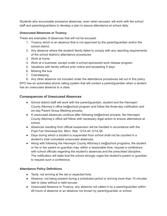Students who accumulate excessive absences, even when excused, will work with the school staff and parents/guardians to develop a plan to assure attendance at school daily.

# **Unexcused Absences or Truancy**

These are examples of absences that will not be excused:

- 1. Truancy which is an absence that is not approved by the parent/guardian and/or the school district
- 2. Any absence where the student/ family failed to comply with any reporting requirements of the school district's attendance procedures
- 3. Work at home
- 4. Work at a business, except under a school-sponsored work release program.
- 5. Vacations with family without prior notice and exceeding 5 days
- 6. Missing the bus
- 7. Oversleeping
- 8. Any other absence not included under the attendance procedures set out in this policy

EPO has an automated phone calling system that will contact a parent/guardian when a student has an unexcused absence to a class.

# **Consequences of Unexcused Absences**

- School district staff will work with the parent/guardian, student and the Hennepin County Attorney's office be@school program and follow the three-day notification and six-day Parent Group Meeting process.
- $\bullet$  If unexcused absences continue after following be@school process, the Hennepin County Attorney's office will follow with necessary legal action to ensure attendance at school.
- Absences resulting from official suspension will be handled in accordance with the Pupil Fair Dismissal Act, Minn. Stat. 121A.40-121A.56.
- Days during which a student is suspended from school shall not be counted in a student's total cumulated unexcused absences.
- Along with following the Hennepin County Attorney's be@school programs, the student or his or her parent or guardian may, within a reasonable time, request a conference with school officials regarding the student's absences and the prescribed discipline. The notification will state that the school strongly urges the student's parent or guardian to request such a conference.

# **Attendance Policy Definitions**

- Tardy: not arriving at the set or expected time.
- Absence: not being present during a scheduled period or arriving more than 15 minutes late to class without a valid excuse.
- Unexcused Absence or Truancy: any absence not called in by a parent/guardian within 48 hours of absence or an absence not known by parent/guardian or school.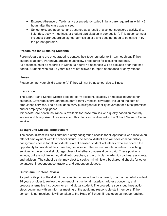- Excused Absence or Tardy: any absence/tardy called in by a parent/guardian within 48 hours after the class was missed.
- School-excused absence: any absence as a result of a school-sponsored activity (i.e. field trips, activity meetings, or student participation in competition). This absence must include a parent/guardian signed permission slip and does not need to be called in by the parent/guardian.

# **Procedures for Excusing Students**

Parents/guardians are encouraged to contact their teachers prior to 11 a.m. each day if their student is absent. Parents/guardians must follow procedures for excusing students. All absences must be reported in within 48 hours; no absences will be excused after that time period. Students who are 18 years old are not allowed to report attendance or early release.

# **Illness**

Please contact your child's teacher(s) if they will not be at school due to illness.

# **Insurance**

The Eden Prairie School District does not carry accident, disability or medical insurance for students. Coverage is through the student's family medical coverage, including the cost of ambulance services. The district does carry public/general liability coverage for district premises and/or employee negligence.

MinnesotaCare health insurance is available for those families who qualify based on monthly income and family size. Questions about this plan can be directed to the School Nurse or Social Worker.

# **Background Checks, Employment**

The school district will seek criminal history background checks for all applicants who receive an offer of employment with the school district. The school district also will seek criminal history background checks for all individuals, except enrolled student volunteers, who are offered the opportunity to provide athletic coaching services or other extracurricular academic coaching services to the school district, regardless of whether compensation is paid. These positions include, but are not limited to, all athletic coaches, extracurricular academic coaches, assistants, and advisors. The school district may elect to seek criminal history background checks for other volunteers, independent contractors, and student employees.

# **Curriculum Content Review**

As part of its policy, the district has specified a procedure for a parent, guardian, or adult student 18 years or older to review the content of instructional materials, address concerns, and propose alternative instruction for an individual student. The procedure spells out three action steps beginning with an informal meeting of the adult and responsible staff members. If the concern is not resolved, it will be taken to the Head of School. If resolution cannot be reached,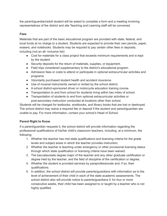the parent/guardian/adult student will be asked to complete a form and a meeting involving representatives of the district and site Teaching and Learning staff will be convened.

# **Fees**

Materials that are part of the basic educational program are provided with state, federal, and local funds at no charge to a student. Students are expected to provide their own pencils, paper, erasers, and notebooks. Students may be required to pay certain other fees or deposits, including (not an all- inclusive list):

- Cost for materials for a class project that exceeds minimum requirements and is kept by the student.
- Security deposits for the return of materials, supplies, or equipment.
- Field trips considered supplementary to the district's educational program.
- Admission fees or costs to attend or participate in optional extracurricular activities and programs.
- Voluntarily purchased student health and accident insurance.
- Use of musical instruments owned or rented by the school district.
- A school district-sponsored driver or motorcycle education training course.
- Transportation to and from school for students living within two miles of school.
- Transportation of students to and from optional extracurricular activities or post-secondary instruction conducted at locations other than school.

Students will be charged for textbooks, workbooks, and library books that are lost or destroyed. The school district may waive a required fee or deposit if the student and parent/guardian are unable to pay. For more information, contact your school's Head of School.

# **Parent Right to Know**

If a parent/guardian requests it, the school district will provide information regarding the professional qualifications of his/her child's classroom teachers, including, at a minimum, the following:

- 1. Whether the teacher has met state qualifications and licensing criteria for the grade levels and subject areas in which the teacher provides instruction;
- 2. Whether the teacher is teaching under emergency or other provisional licensing status through which state qualification or licensing criteria have been waived;
- 3. The baccalaureate degree major of the teacher and any other graduate certification or degree held by the teacher, and the field of discipline of the certification or degree;
- 4. Whether the student is provided services by paraprofessionals and, if so, their qualifications.
- 5. In addition, the school district will provide parents/guardians with information as to the level of achievement of their child in each of the state academic assessments. The school district also will provide notice to parents/guardians if, for four or more consecutive weeks, their child has been assigned to or taught by a teacher who is not highly qualified.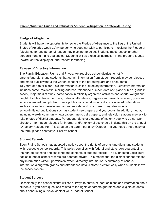# **[Parent /Guardian Guide and Refusal for Student Participation in Statewide Testing](https://drive.google.com/file/d/11_NY1ZX6aDnAhAN5Y7d41en1SJrJBWXs/view?usp=sharing)**

# **Pledge of Allegiance**

Students will have the opportunity to recite the Pledge of Allegiance to the flag of the United States of America weekly. Any person who does not wish to participate in reciting the Pledge of Allegiance for any personal reason may elect not to do so. Students must respect another person's right to make that choice. Students will also receive instruction in the proper etiquette toward, correct display of, and respect for the flag.

# **Release of Directory Information**

The Family Education Rights and Privacy Act requires school districts to notify parents/guardians and students that certain information from student records may be released and made public without the written consent of the parents/guardians or students 18-years-of-age or older. This information is called "directory information." Directory information includes name, residential mailing address, telephone number, date and place of birth, grade in school, major field of study, participation in officially organized activities and sports, weight and height of athletic team members, dates of attendance, degrees and awards received, previous school attended, and photos. These publications could include district- initiated publications such as calendars, newsletters, annual reports, and brochures. They also include school-initiated publications such as student newspapers and yearbooks. In addition, media, including weekly community newspapers, metro daily papers, and television stations may ask to take photos of district students. Parent/guardians or students of majority age who do not want directory information released for internal and/or external use should indicate this on the annual "Directory Release Form" located on the parent portal by October 1. If you need a hard copy of the form, please contact your child's school.

# **Student Records**

Eden Prairie Schools has adopted a policy about the rights of parents/guardians and students with respect to school records. This policy complies with federal and state laws guaranteeing the right to examine and challenge the contents of student records. The Minnesota Legislature has said that all school records are deemed private. This means that the district cannot release any information without permission except directory information. A summary of census information along with grades and attendance data is stored electronically when students leave the school system.

# **Student Surveys**

Occasionally, the school district utilizes surveys to obtain student opinions and information about students. If you have questions related to the rights of parents/guardians and eligible students about conducting surveys, contact your Head of School.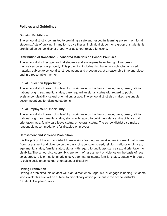# **Policies and Guidelines**

# **Bullying Prohibition**

The school district is committed to providing a safe and respectful learning environment for all students. Acts of bullying, in any form, by either an individual student or a group of students, is prohibited on school district property or at school-related functions.

# **Distribution of Nonschool-Sponsored Materials on School Premises**

The school district recognizes that students and employees have the right to express themselves on school property. This protection includes distributing nonschool-sponsored material, subject to school district regulations and procedures, at a reasonable time and place and in a reasonable manner.

# **Equal Education Opportunity**

The school district does not unlawfully discriminate on the basis of race, color, creed, religion, national origin, sex, marital status, parent/guardian status, status with regard to public assistance, disability, sexual orientation, or age. The school district also makes reasonable accommodations for disabled students.

# **Equal Employment Opportunity**

The school district does not unlawfully discriminate on the basis of race, color, creed, religion, national origin, sex, marital status, status with regard to public assistance, disability, sexual orientation, age, family care leave status, or veteran status. The school district also makes reasonable accommodations for disabled employees.

### **Harassment and Violence Prohibition**

It is the policy of the school district to maintain a learning and working environment that is free from harassment and violence on the basis of race, color, creed, religion, national origin, sex, age, marital status, familial status, status with regard to public assistance sexual orientation, or disability. The school district prohibits any form of harassment or violence on the basis of race, color, creed, religion, national origin, sex, age, marital status, familial status, status with regard to public assistance, sexual orientation, or disability.

### **Hazing Prohibition**

Hazing is prohibited. No student will plan, direct, encourage, aid, or engage in hazing. Students who violate this rule will be subject to disciplinary action pursuant to the school district's "Student Discipline" policy.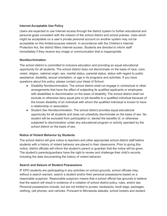# **Internet Acceptable Use Policy**

Users are expected to use Internet access through the district system to further educational and personal goals consistent with the mission of the school district and school policies. Uses which might be acceptable on a user's private personal account on another system may not be acceptable on this limited-purpose network. In accordance with the Children's Internet Protection Act, the district filters Internet access. Students are directed to inform staff immediately if they receive any image or communication that is inappropriate.

# **Nondiscrimination**

The school district is committed to inclusive education and providing an equal educational opportunity for all students. The school district does not discriminate on the basis of race, color, creed, religion, national origin, sex, marital status, parental status, status with regard to public assistance, disability, sexual orientation, or age in its programs and activities. If you have questions about this policy, please contact your Head of School.

- Disability Nondiscrimination: The school district shall not engage in contractual or other arrangements that have the effect of subjecting its qualified applicants or employees with disabilities to discrimination on the basis of disability. The school district shall not exclude or otherwise deny equal jobs or job benefits to a qualified individual because of the known disability of an individual with whom the qualified individual is known to have a relationship or association.
- Student Sex Nondiscrimination: The school district provides equal educational opportunity for all students and does not unlawfully discriminate on the basis of sex. No student will be excluded from participation in, denied the benefits of, or otherwise subjected to discrimination under any educational program or activity operated by the school district on the basis of sex.

# **Notice of Violent Behavior by Students**

The school district will give notice to teachers and other appropriate school district staff before students with a history of violent behavior are placed in their classrooms. Prior to giving this notice, district officials will inform the student's parent or guardian that the notice will be given. The student's parents/guardians have the right to review and challenge their child's records, including the data documenting the history of violent behavior.

# **Search and Seizure of Student Possessions**

IF EPO students are participating in any activities on school grounds, school officials may, without a search warrant, search a student and/or their personal possessions based on a reasonable suspicion. Reasonable suspicion means that a school official has grounds to believe that the search will result in evidence of a violation of school district policy, rules, and/or law. Personal possessions include, but are not limited to purses, backpacks, book bags, packages, clothing, cell phones, and vehicles. Pursuant to Minnesota statutes, school lockers and student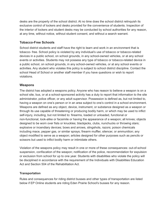desks are the property of the school district. At no time does the school district relinquish its exclusive control of lockers and desks provided for the convenience of students. Inspection of the interior of lockers and student desks may be conducted by school authorities for any reason, at any time, without notice, without student consent, and without a search warrant.

# **Tobacco-Free Schools**

School district students and staff have the right to learn and work in an environment that is tobacco- free. School policy is violated by any individual's use of tobacco or tobacco-related devices in a public school, on school grounds, in any school-owned vehicles, or at any school events or activities. Students may not possess any type of tobacco or tobacco-related device in a public school, on school grounds, in any school-owned vehicles, or at any school events or activities. Any student who violates this policy is subject to school district discipline. Contact the school Head of School or another staff member if you have questions or wish to report violations.

# **Weapons**

The district has adopted a weapons policy. Anyone who has reason to believe a weapon is on a school site, bus, or at a school-sponsored activity has a duty to report that information to the site administrator, police officer, or any adult supervisor. Possession is defined as, but not limited to, having a weapon on one's person or in an area subject to one's control in a school environment. Weapons are defined as any object, device, instrument, or substance designed as a weapon or through its use capable of threatening or producing bodily harm, or which may be used to inflict self-injury, including, but not limited to: firearms, loaded or unloaded, functional or non-functional, look-alike or facsimile or having the appearance of a weapon; all knives; objects designed to be worn over fists or knuckles; blackjacks, clubs, nunchucks or throwing stars; explosive or incendiary devices; bows and arrows, slingshots, razors; poison chemicals including mace, pepper gas, or similar sprays; firearm muffler, silencer, or ammunition; any object modified to serve as a weapon; articles designed for other purposes such as pencils or scissors but used to inflict bodily harm or intimidate others.

Violation of the weapons policy may result in one or more of these consequences: out-of-school suspension, confiscation of the weapon; notification of the police, recommendation for expulsion or exclusion from school for up to one year. Students with disabilities who violate the policy will be disciplined in accordance with the requirement of the Individuals with Disabilities Education Act and Section 504 of the Rehabilitation Act.

# **Transportation**

Rules and consequences for riding district busses and other types of transportation are listed below if EP Online students are riding Eden Prairie School's busses for any reason.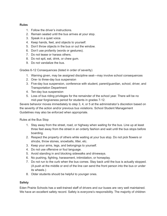# **Rules**

- 1. Follow the driver's instructions.
- 2. Remain seated until the bus arrives at your stop.
- 3. Speak in a quiet voice.
- 4. Keep hands, feet, and objects to yourself.
- 5. Don't throw objects in the bus or out the window.
- 6. Don't use profanity (words or gestures).
- 7. Do not tease or harass others.
- 8. Do not spit, eat, drink, or chew gum.
- 9. Do not vandalize the bus.

Grades 6-12 Consequences (listed in order of severity)

- 1. Warning given, may be assigned discipline seat—may involve school consequences
- 2. One- to three-day bus suspension
- 3. Five-day bus suspension, conference with student, parent/guardian, school, driver, and Transportation Department
- 4. Ten-day bus suspension
- 5. Loss of bus riding privileges for the remainder of the school year. There will be no mid-year forgiveness period for students in grades 7-12.

Severe behavior moves immediately to step 3, 4, or 5 at the administrator's discretion based on the severity of the action and/or previous bus violations. School Student Management Guidelines may also be enforced when appropriate.

Rules at the Bus Stop

- 1. Stay away from the street, road, or highway when waiting for the bus. Line up at least three feet away from the street in an orderly fashion and wait until the bus stops before boarding.
- 2. Respect the property of others while waiting at your bus stop. Do not pick flowers or shrubs, throw stones, snowballs, litter, etc.
- 3. Keep your arms, legs, and belongings to yourself.
- 4. Do not use offensive or foul language.
- 5. Avoid standing in and blocking sidewalks and driveways.
- 6. No pushing, fighting, harassment, intimidation, or horseplay.
- 7. Do not run to the curb when the bus comes. Stay back until the bus is actually stopped. (A push at the middle or end of the line can send the front person into the bus or under its wheels.)
- 8. Older students should be helpful to younger ones.

# **Safety**

Eden Prairie Schools has a well-trained staff of drivers and our buses are very well maintained. We have an excellent safety record. Safety is everyone's responsibility. The majority of children